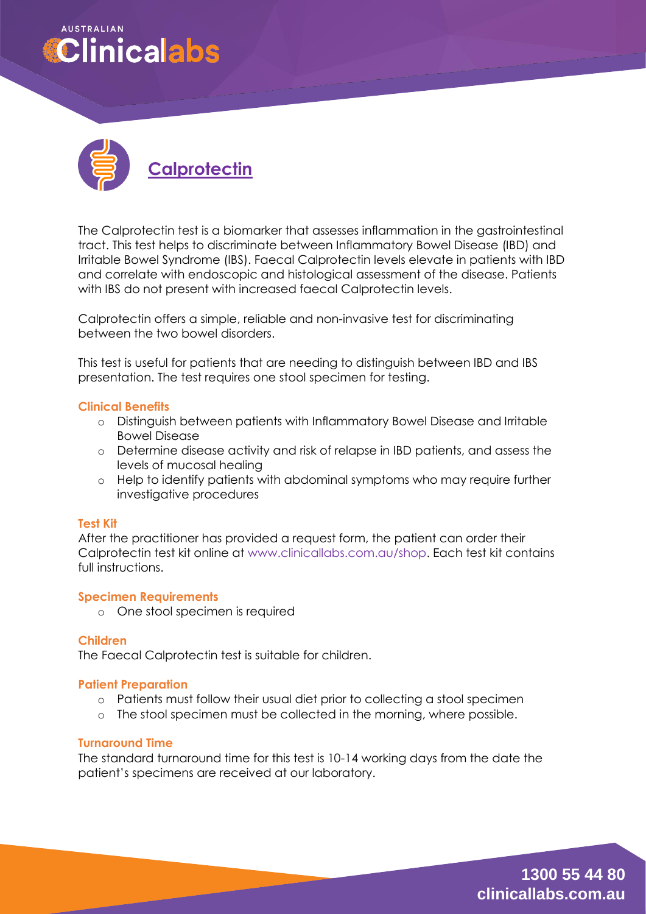# **AUSTRALIAN Clinicalabs**



The Calprotectin test is a biomarker that assesses inflammation in the gastrointestinal tract. This test helps to discriminate between Inflammatory Bowel Disease (IBD) and Irritable Bowel Syndrome (IBS). Faecal Calprotectin levels elevate in patients with IBD and correlate with endoscopic and histological assessment of the disease. Patients with IBS do not present with increased faecal Calprotectin levels.

Calprotectin offers a simple, reliable and non-invasive test for discriminating between the two bowel disorders.

This test is useful for patients that are needing to distinguish between IBD and IBS presentation. The test requires one stool specimen for testing.

### **Clinical Benefits**

- o Distinguish between patients with Inflammatory Bowel Disease and Irritable Bowel Disease
- o Determine disease activity and risk of relapse in IBD patients, and assess the levels of mucosal healing
- o Help to identify patients with abdominal symptoms who may require further investigative procedures

#### **Test Kit**

After the practitioner has provided a request form, the patient can order their Calprotectin test kit online at [www.clinicallabs.com.au/shop.](http://www.clinicallabs.com.au/shop) Each test kit contains full instructions.

#### **Specimen Requirements**

o One stool specimen is required

## **Children**

The Faecal Calprotectin test is suitable for children.

#### **Patient Preparation**

- o Patients must follow their usual diet prior to collecting a stool specimen
- o The stool specimen must be collected in the morning, where possible.

#### **Turnaround Time**

The standard turnaround time for this test is 10-14 working days from the date the patient's specimens are received at our laboratory.